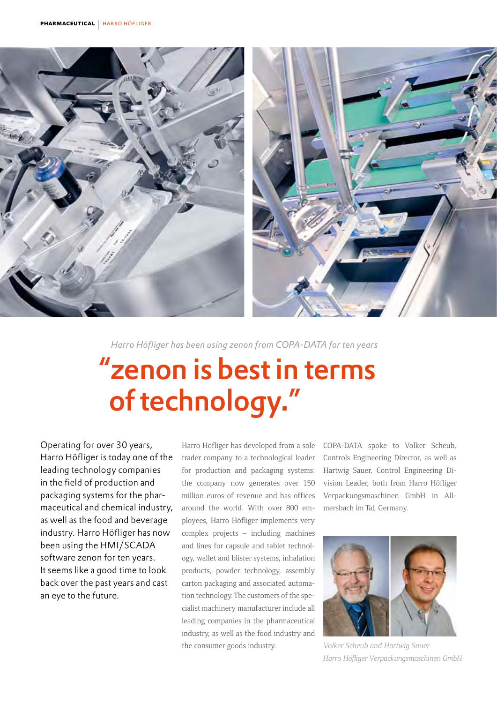

*Harro Höfliger has been using zenon from COPA-DATA for ten years*

# "zenon is best in terms of technology."

Operating for over 30 years, Harro Höfliger is today one of the leading technology companies in the field of production and packaging systems for the pharmaceutical and chemical industry, as well as the food and beverage industry. Harro Höfliger has now been using the HMI/SCADA software zenon for ten years. It seems like a good time to look back over the past years and cast an eye to the future.

Harro Höfliger has developed from a sole trader company to a technological leader for production and packaging systems: the company now generates over 150 million euros of revenue and has offices around the world. With over 800 employees, Harro Höfliger implements very complex projects – including machines and lines for capsule and tablet technology, wallet and blister systems, inhalation products, powder technology, assembly carton packaging and associated automation technology. The customers of the specialist machinery manufacturer include all leading companies in the pharmaceutical industry, as well as the food industry and the consumer goods industry.

COPA-DATA spoke to Volker Scheub, Controls Engineering Director, as well as Hartwig Sauer, Control Engineering Division Leader, both from Harro Höfliger Verpackungsmaschinen GmbH in Allmersbach im Tal, Germany.



*Volker Scheub and Hartwig Sauer Harro Höfliger Verpackungsmaschinen GmbH*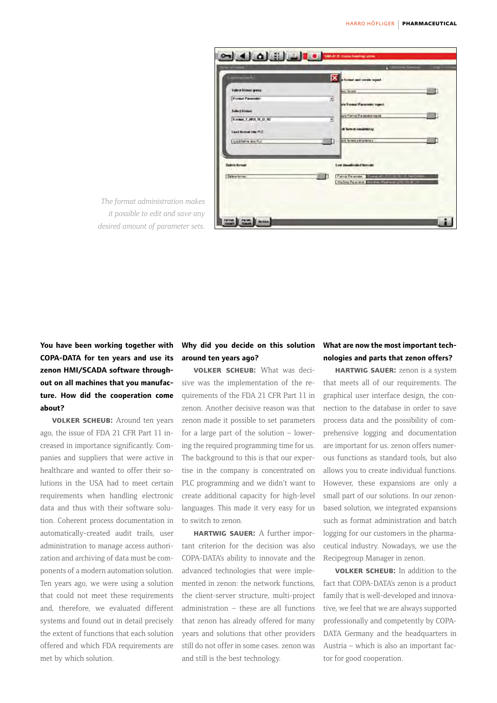| <b>STEWART</b>             |   | X hours and condu report                                                                                      |
|----------------------------|---|---------------------------------------------------------------------------------------------------------------|
| <b>Salect formal group</b> |   | <b>Auct formal</b>                                                                                            |
| <b>Essays Parameter</b>    | ≖ | ate Formal Parameter rogert                                                                                   |
| <b>Soloct futures</b>      |   |                                                                                                               |
| T.crmit_1_2013_11_27_V2    | Ξ | and Formal Parlameter roads.                                                                                  |
| Local bicical into PLC.    |   | di laimat kamiktekoy                                                                                          |
| Load format and PLC        |   | and Newell Competency                                                                                         |
| <b>Detete format</b>       |   | 1 and dissurably-toke if history arts                                                                         |
| Determinant                |   | Farmer Parameter<br><b>SINGHAM</b><br><b>Report Follows</b><br><b>Melin Perry's District Processing Child</b> |
|                            |   |                                                                                                               |

*The format administration makes it possible to edit and save any desired amount of parameter sets.*

# **You have been working together with COPA-DATA for ten years and use its zenon HMI/SCADA software throughout on all machines that you manufacture. How did the cooperation come about?**

**volker scheub:** Around ten years ago, the issue of FDA 21 CFR Part 11 increased in importance significantly. Companies and suppliers that were active in healthcare and wanted to offer their solutions in the USA had to meet certain requirements when handling electronic data and thus with their software solution. Coherent process documentation in automatically-created audit trails, user administration to manage access authorization and archiving of data must be components of a modern automation solution. Ten years ago, we were using a solution that could not meet these requirements and, therefore, we evaluated different systems and found out in detail precisely the extent of functions that each solution offered and which FDA requirements are met by which solution.

### **Why did you decide on this solution around ten years ago?**

**volker scheub:** What was decisive was the implementation of the requirements of the FDA 21 CFR Part 11 in zenon. Another decisive reason was that zenon made it possible to set parameters for a large part of the solution – lowering the required programming time for us. The background to this is that our expertise in the company is concentrated on PLC programming and we didn't want to create additional capacity for high-level languages. This made it very easy for us to switch to zenon.

**hartwig sauer:** A further important criterion for the decision was also COPA-DATA's ability to innovate and the advanced technologies that were implemented in zenon: the network functions, the client-server structure, multi-project administration – these are all functions that zenon has already offered for many years and solutions that other providers still do not offer in some cases. zenon was and still is the best technology.

## **What are now the most important technologies and parts that zenon offers?**

**hartwig sauer:** zenon is a system that meets all of our requirements. The graphical user interface design, the connection to the database in order to save process data and the possibility of comprehensive logging and documentation are important for us. zenon offers numerous functions as standard tools, but also allows you to create individual functions. However, these expansions are only a small part of our solutions. In our zenonbased solution, we integrated expansions such as format administration and batch logging for our customers in the pharmaceutical industry. Nowadays, we use the Recipegroup Manager in zenon.

**volker scheub:** In addition to the fact that COPA-DATA's zenon is a product family that is well-developed and innovative, we feel that we are always supported professionally and competently by COPA-DATA Germany and the headquarters in Austria – which is also an important factor for good cooperation.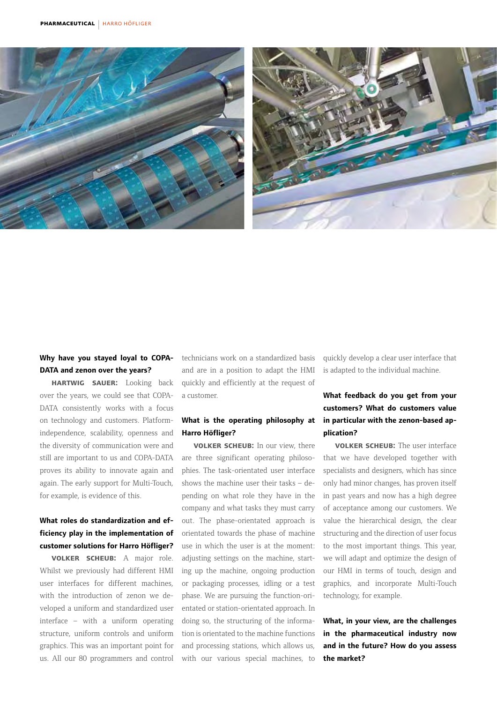

### **Why have you stayed loyal to COPA-DATA and zenon over the years?**

**hartwig sauer:** Looking back over the years, we could see that COPA-DATA consistently works with a focus on technology and customers. Platformindependence, scalability, openness and the diversity of communication were and still are important to us and COPA-DATA proves its ability to innovate again and again. The early support for Multi-Touch, for example, is evidence of this.

# **What roles do standardization and efficiency play in the implementation of customer solutions for Harro Höfliger?**

**volker scheub:** A major role. Whilst we previously had different HMI user interfaces for different machines, with the introduction of zenon we developed a uniform and standardized user interface – with a uniform operating structure, uniform controls and uniform graphics. This was an important point for us. All our 80 programmers and control technicians work on a standardized basis and are in a position to adapt the HMI quickly and efficiently at the request of a customer.

#### **What is the operating philosophy at Harro Höfliger?**

**volker scheub:** In our view, there are three significant operating philosophies. The task-orientated user interface shows the machine user their tasks – depending on what role they have in the company and what tasks they must carry out. The phase-orientated approach is orientated towards the phase of machine use in which the user is at the moment: adjusting settings on the machine, starting up the machine, ongoing production or packaging processes, idling or a test phase. We are pursuing the function-orientated or station-orientated approach. In doing so, the structuring of the information is orientated to the machine functions and processing stations, which allows us, with our various special machines, to quickly develop a clear user interface that is adapted to the individual machine.

## **What feedback do you get from your customers? What do customers value in particular with the zenon-based application?**

**volker scheub:** The user interface that we have developed together with specialists and designers, which has since only had minor changes, has proven itself in past years and now has a high degree of acceptance among our customers. We value the hierarchical design, the clear structuring and the direction of user focus to the most important things. This year, we will adapt and optimize the design of our HMI in terms of touch, design and graphics, and incorporate Multi-Touch technology, for example.

**What, in your view, are the challenges in the pharmaceutical industry now and in the future? How do you assess the market?**